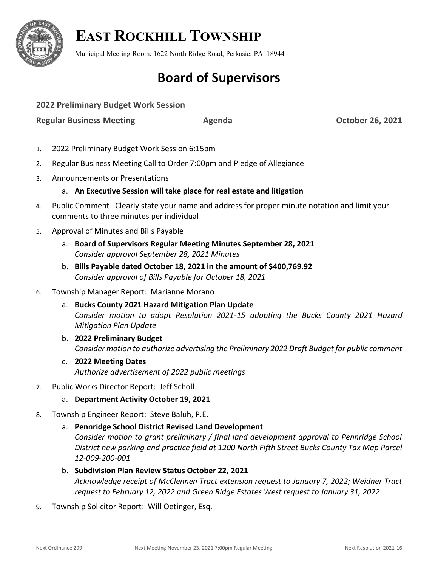

## **EAST ROCKHILL TOWNSHIP**

Municipal Meeting Room, 1622 North Ridge Road, Perkasie, PA 18944

## **Board of Supervisors**

**2022 Preliminary Budget Work Session**

**Regular Business Meeting The Contract Agenda Contract Agent Contract Agent Contract Agent Contract October 26, 2021** 

- 1. 2022 Preliminary Budget Work Session 6:15pm
- 2. Regular Business Meeting Call to Order 7:00pm and Pledge of Allegiance
- 3. Announcements or Presentations

## a. **An Executive Session will take place for real estate and litigation**

- 4. Public Comment Clearly state your name and address for proper minute notation and limit your comments to three minutes per individual
- 5. Approval of Minutes and Bills Payable
	- a. **Board of Supervisors Regular Meeting Minutes September 28, 2021** *Consider approval September 28, 2021 Minutes*
	- b. **Bills Payable dated October 18, 2021 in the amount of \$400,769.92** *Consider approval of Bills Payable for October 18, 2021*

## 6. Township Manager Report: Marianne Morano

- a. **Bucks County 2021 Hazard Mitigation Plan Update** *Consider motion to adopt Resolution 2021-15 adopting the Bucks County 2021 Hazard Mitigation Plan Update*
- b. **2022 Preliminary Budget** *Consider motion to authorize advertising the Preliminary 2022 Draft Budget for public comment*
- c. **2022 Meeting Dates** *Authorize advertisement of 2022 public meetings*
- 7. Public Works Director Report: Jeff Scholl
	- a. **Department Activity October 19, 2021**
- 8. Township Engineer Report: Steve Baluh, P.E.
	- a. **Pennridge School District Revised Land Development** *Consider motion to grant preliminary / final land development approval to Pennridge School District new parking and practice field at 1200 North Fifth Street Bucks County Tax Map Parcel 12-009-200-001*
	- b. **Subdivision Plan Review Status October 22, 2021** *Acknowledge receipt of McClennen Tract extension request to January 7, 2022; Weidner Tract request to February 12, 2022 and Green Ridge Estates West request to January 31, 2022*
- 9. Township Solicitor Report: Will Oetinger, Esq.